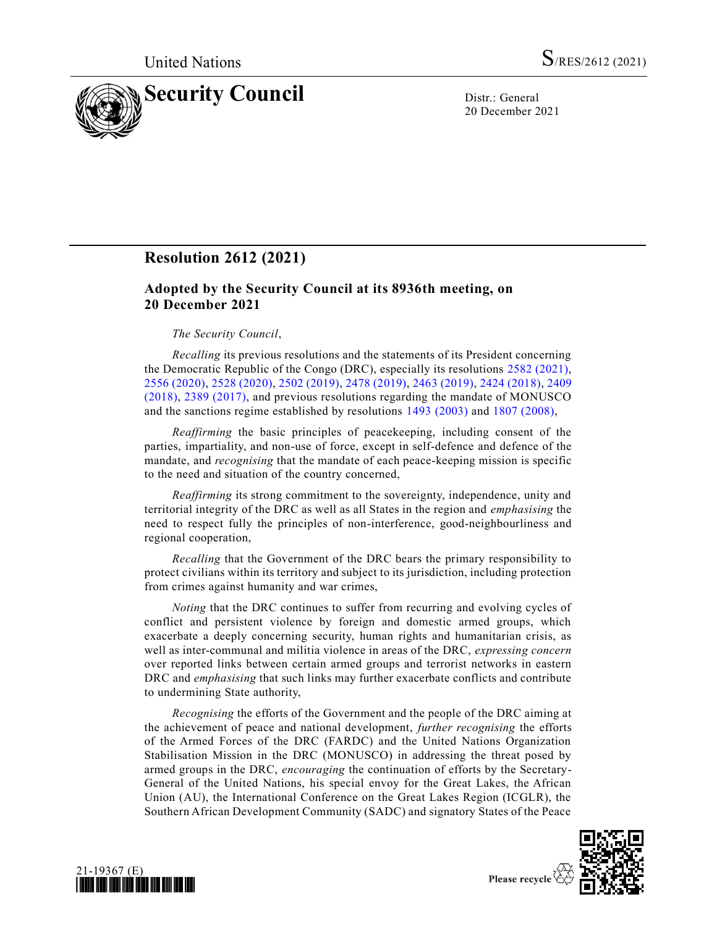

20 December 2021

# **Resolution 2612 (2021)**

# **Adopted by the Security Council at its 8936th meeting, on 20 December 2021**

## *The Security Council*,

*Recalling* its previous resolutions and the statements of its President concerning the Democratic Republic of the Congo (DRC), especially its resolutions [2582 \(2021\),](https://undocs.org/en/S/RES/2582(2021)) [2556 \(2020\),](https://undocs.org/en/S/RES/2556(2020)) [2528 \(2020\),](https://undocs.org/en/S/RES/2528(2020)) [2502 \(2019\),](https://undocs.org/en/S/RES/2502(2019)) [2478 \(2019\),](https://undocs.org/en/S/RES/2478(2019)) [2463 \(2019\),](https://undocs.org/en/S/RES/2463(2019)) [2424 \(2018\),](https://undocs.org/en/S/RES/2424(2018)) [2409](https://undocs.org/en/S/RES/2409(2018))  [\(2018\),](https://undocs.org/en/S/RES/2409(2018)) [2389 \(2017\),](https://undocs.org/en/S/RES/2389(2017)) and previous resolutions regarding the mandate of MONUSCO and the sanctions regime established by resolutions [1493 \(2003\)](https://undocs.org/en/S/RES/1493(2003)) and [1807 \(2008\),](https://undocs.org/en/S/RES/1807(2008))

*Reaffirming* the basic principles of peacekeeping, including consent of the parties, impartiality, and non-use of force, except in self-defence and defence of the mandate, and *recognising* that the mandate of each peace-keeping mission is specific to the need and situation of the country concerned,

*Reaffirming* its strong commitment to the sovereignty, independence, unity and territorial integrity of the DRC as well as all States in the region and *emphasising* the need to respect fully the principles of non-interference, good-neighbourliness and regional cooperation,

*Recalling* that the Government of the DRC bears the primary responsibility to protect civilians within its territory and subject to its jurisdiction, including protection from crimes against humanity and war crimes,

*Noting* that the DRC continues to suffer from recurring and evolving cycles of conflict and persistent violence by foreign and domestic armed groups, which exacerbate a deeply concerning security, human rights and humanitarian crisis, as well as inter-communal and militia violence in areas of the DRC, *expressing concern* over reported links between certain armed groups and terrorist networks in eastern DRC and *emphasising* that such links may further exacerbate conflicts and contribute to undermining State authority,

*Recognising* the efforts of the Government and the people of the DRC aiming at the achievement of peace and national development, *further recognising* the efforts of the Armed Forces of the DRC (FARDC) and the United Nations Organization Stabilisation Mission in the DRC (MONUSCO) in addressing the threat posed by armed groups in the DRC, *encouraging* the continuation of efforts by the Secretary-General of the United Nations, his special envoy for the Great Lakes, the African Union (AU), the International Conference on the Great Lakes Region (ICGLR), the Southern African Development Community (SADC) and signatory States of the Peace



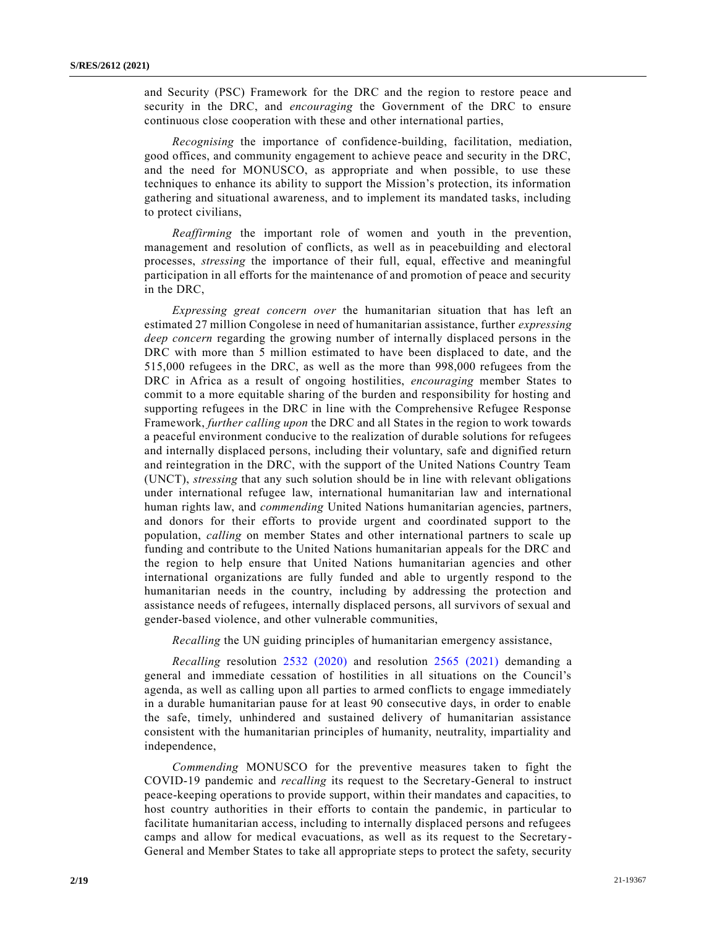and Security (PSC) Framework for the DRC and the region to restore peace and security in the DRC, and *encouraging* the Government of the DRC to ensure continuous close cooperation with these and other international parties,

*Recognising* the importance of confidence-building, facilitation, mediation, good offices, and community engagement to achieve peace and security in the DRC, and the need for MONUSCO, as appropriate and when possible, to use these techniques to enhance its ability to support the Mission's protection, its information gathering and situational awareness, and to implement its mandated tasks, including to protect civilians,

*Reaffirming* the important role of women and youth in the prevention, management and resolution of conflicts, as well as in peacebuilding and electoral processes, *stressing* the importance of their full, equal, effective and meaningful participation in all efforts for the maintenance of and promotion of peace and security in the DRC,

*Expressing great concern over* the humanitarian situation that has left an estimated 27 million Congolese in need of humanitarian assistance, further *expressing deep concern* regarding the growing number of internally displaced persons in the DRC with more than 5 million estimated to have been displaced to date, and the 515,000 refugees in the DRC, as well as the more than 998,000 refugees from the DRC in Africa as a result of ongoing hostilities, *encouraging* member States to commit to a more equitable sharing of the burden and responsibility for hosting and supporting refugees in the DRC in line with the Comprehensive Refugee Response Framework, *further calling upon* the DRC and all States in the region to work towards a peaceful environment conducive to the realization of durable solutions for refugees and internally displaced persons, including their voluntary, safe and dignified return and reintegration in the DRC, with the support of the United Nations Country Team (UNCT), *stressing* that any such solution should be in line with relevant obligations under international refugee law, international humanitarian law and international human rights law, and *commending* United Nations humanitarian agencies, partners, and donors for their efforts to provide urgent and coordinated support to the population, *calling* on member States and other international partners to scale up funding and contribute to the United Nations humanitarian appeals for the DRC and the region to help ensure that United Nations humanitarian agencies and other international organizations are fully funded and able to urgently respond to the humanitarian needs in the country, including by addressing the protection and assistance needs of refugees, internally displaced persons, all survivors of sexual and gender-based violence, and other vulnerable communities,

*Recalling* the UN guiding principles of humanitarian emergency assistance,

*Recalling* resolution [2532 \(2020\)](https://undocs.org/en/S/RES/2532(2020)) and resolution [2565 \(2021\)](https://undocs.org/en/S/RES/2565(2021)) demanding a general and immediate cessation of hostilities in all situations on the Council's agenda, as well as calling upon all parties to armed conflicts to engage immediately in a durable humanitarian pause for at least 90 consecutive days, in order to enable the safe, timely, unhindered and sustained delivery of humanitarian assistance consistent with the humanitarian principles of humanity, neutrality, impartiality and independence,

*Commending* MONUSCO for the preventive measures taken to fight the COVID-19 pandemic and *recalling* its request to the Secretary-General to instruct peace-keeping operations to provide support, within their mandates and capacities, to host country authorities in their efforts to contain the pandemic, in particular to facilitate humanitarian access, including to internally displaced persons and refugees camps and allow for medical evacuations, as well as its request to the Secretary-General and Member States to take all appropriate steps to protect the safety, security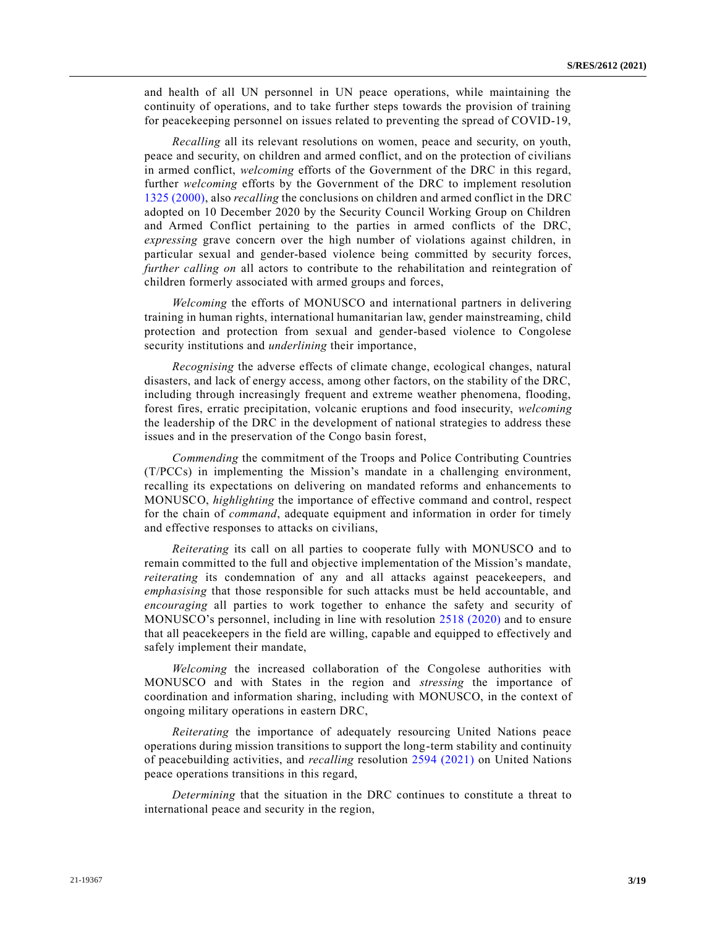and health of all UN personnel in UN peace operations, while maintaining the continuity of operations, and to take further steps towards the provision of training for peacekeeping personnel on issues related to preventing the spread of COVID-19,

*Recalling* all its relevant resolutions on women, peace and security, on youth, peace and security, on children and armed conflict, and on the protection of civilians in armed conflict, *welcoming* efforts of the Government of the DRC in this regard, further *welcoming* efforts by the Government of the DRC to implement resolution [1325 \(2000\),](https://undocs.org/en/S/RES/1325(2000)) also *recalling* the conclusions on children and armed conflict in the DRC adopted on 10 December 2020 by the Security Council Working Group on Children and Armed Conflict pertaining to the parties in armed conflicts of the DRC, *expressing* grave concern over the high number of violations against children, in particular sexual and gender-based violence being committed by security forces, *further calling on* all actors to contribute to the rehabilitation and reintegration of children formerly associated with armed groups and forces,

*Welcoming* the efforts of MONUSCO and international partners in delivering training in human rights, international humanitarian law, gender mainstreaming, child protection and protection from sexual and gender-based violence to Congolese security institutions and *underlining* their importance,

*Recognising* the adverse effects of climate change, ecological changes, natural disasters, and lack of energy access, among other factors, on the stability of the DRC, including through increasingly frequent and extreme weather phenomena, flooding, forest fires, erratic precipitation, volcanic eruptions and food insecurity, *welcoming* the leadership of the DRC in the development of national strategies to address these issues and in the preservation of the Congo basin forest,

*Commending* the commitment of the Troops and Police Contributing Countries (T/PCCs) in implementing the Mission's mandate in a challenging environment, recalling its expectations on delivering on mandated reforms and enhancements to MONUSCO, *highlighting* the importance of effective command and control, respect for the chain of *command*, adequate equipment and information in order for timely and effective responses to attacks on civilians,

*Reiterating* its call on all parties to cooperate fully with MONUSCO and to remain committed to the full and objective implementation of the Mission's mandate, *reiterating* its condemnation of any and all attacks against peacekeepers, and *emphasising* that those responsible for such attacks must be held accountable, and *encouraging* all parties to work together to enhance the safety and security of MONUSCO's personnel, including in line with resolution [2518 \(2020\)](https://undocs.org/en/S/RES/2518(2020)) and to ensure that all peacekeepers in the field are willing, capable and equipped to effectively and safely implement their mandate,

*Welcoming* the increased collaboration of the Congolese authorities with MONUSCO and with States in the region and *stressing* the importance of coordination and information sharing, including with MONUSCO, in the context of ongoing military operations in eastern DRC,

*Reiterating* the importance of adequately resourcing United Nations peace operations during mission transitions to support the long-term stability and continuity of peacebuilding activities, and *recalling* resolution [2594 \(2021\)](https://undocs.org/en/S/RES/2594(2021)) on United Nations peace operations transitions in this regard,

*Determining* that the situation in the DRC continues to constitute a threat to international peace and security in the region,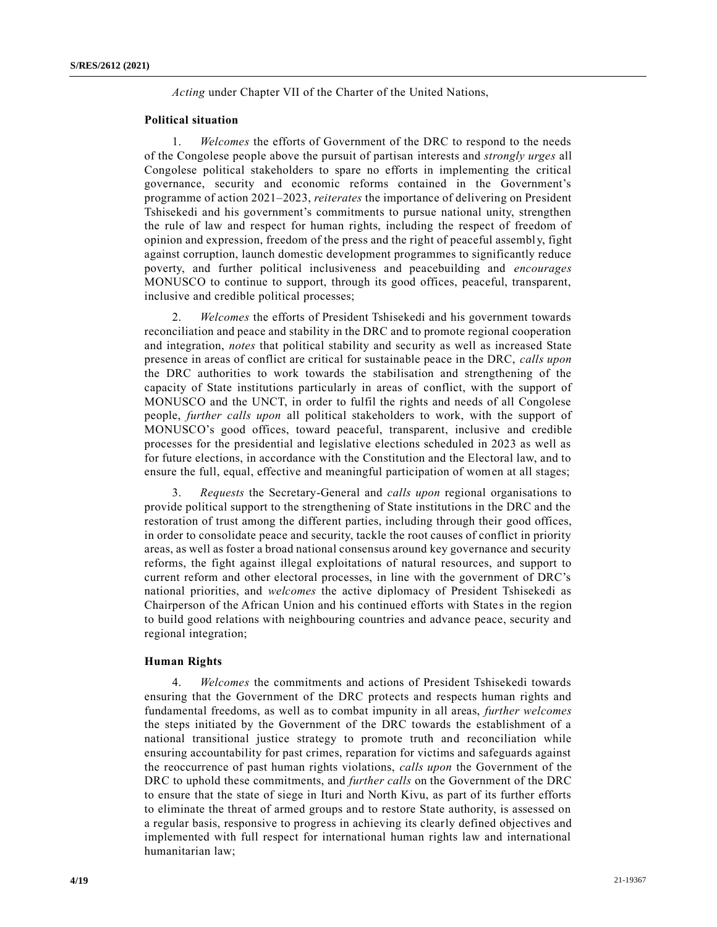*Acting* under Chapter VII of the Charter of the United Nations,

#### **Political situation**

1. *Welcomes* the efforts of Government of the DRC to respond to the needs of the Congolese people above the pursuit of partisan interests and *strongly urges* all Congolese political stakeholders to spare no efforts in implementing the critical governance, security and economic reforms contained in the Government's programme of action 2021–2023, *reiterates* the importance of delivering on President Tshisekedi and his government's commitments to pursue national unity, strengthen the rule of law and respect for human rights, including the respect of freedom of opinion and expression, freedom of the press and the right of peaceful assembl y, fight against corruption, launch domestic development programmes to significantly reduce poverty, and further political inclusiveness and peacebuilding and *encourages* MONUSCO to continue to support, through its good offices, peaceful, transparent, inclusive and credible political processes;

2. *Welcomes* the efforts of President Tshisekedi and his government towards reconciliation and peace and stability in the DRC and to promote regional cooperation and integration, *notes* that political stability and security as well as increased State presence in areas of conflict are critical for sustainable peace in the DRC, *calls upon* the DRC authorities to work towards the stabilisation and strengthening of the capacity of State institutions particularly in areas of conflict, with the support of MONUSCO and the UNCT, in order to fulfil the rights and needs of all Congolese people, *further calls upon* all political stakeholders to work, with the support of MONUSCO's good offices, toward peaceful, transparent, inclusive and credible processes for the presidential and legislative elections scheduled in 2023 as well as for future elections, in accordance with the Constitution and the Electoral law, and to ensure the full, equal, effective and meaningful participation of women at all stages;

3. *Requests* the Secretary-General and *calls upon* regional organisations to provide political support to the strengthening of State institutions in the DRC and the restoration of trust among the different parties, including through their good offices, in order to consolidate peace and security, tackle the root causes of conflict in priority areas, as well as foster a broad national consensus around key governance and security reforms, the fight against illegal exploitations of natural resources, and support to current reform and other electoral processes, in line with the government of DRC's national priorities, and *welcomes* the active diplomacy of President Tshisekedi as Chairperson of the African Union and his continued efforts with States in the region to build good relations with neighbouring countries and advance peace, security and regional integration;

#### **Human Rights**

4. *Welcomes* the commitments and actions of President Tshisekedi towards ensuring that the Government of the DRC protects and respects human rights and fundamental freedoms, as well as to combat impunity in all areas, *further welcomes* the steps initiated by the Government of the DRC towards the establishment of a national transitional justice strategy to promote truth and reconciliation while ensuring accountability for past crimes, reparation for victims and safeguards against the reoccurrence of past human rights violations, *calls upon* the Government of the DRC to uphold these commitments, and *further calls* on the Government of the DRC to ensure that the state of siege in Ituri and North Kivu, as part of its further efforts to eliminate the threat of armed groups and to restore State authority, is assessed on a regular basis, responsive to progress in achieving its clearly defined objectives and implemented with full respect for international human rights law and international humanitarian law;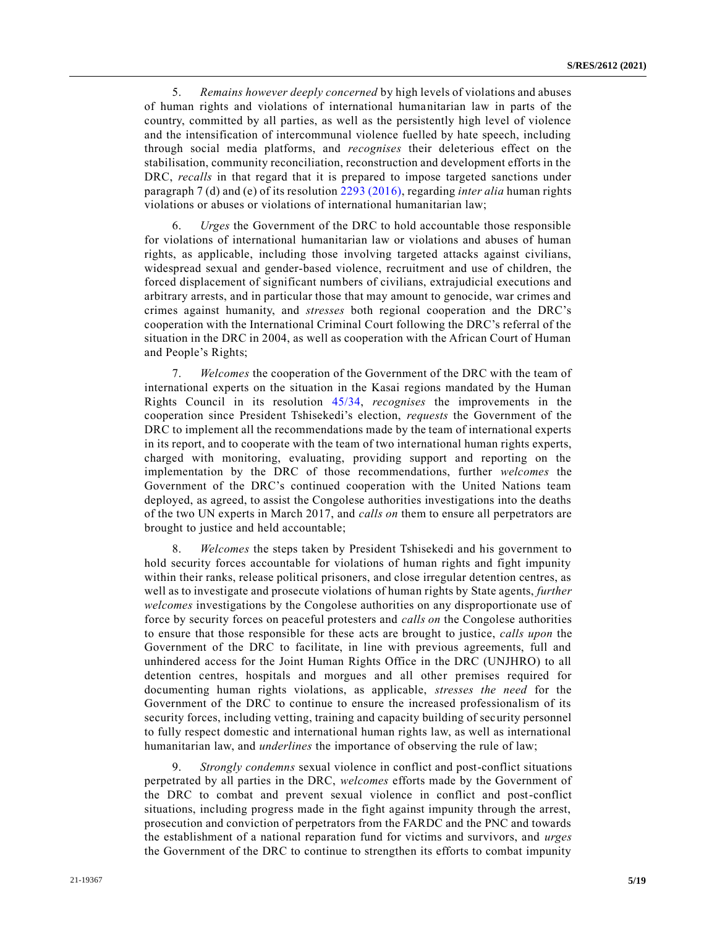5. *Remains however deeply concerned* by high levels of violations and abuses of human rights and violations of international humanitarian law in parts of the country, committed by all parties, as well as the persistently high level of violence and the intensification of intercommunal violence fuelled by hate speech, including through social media platforms, and *recognises* their deleterious effect on the stabilisation, community reconciliation, reconstruction and development efforts in the DRC, *recalls* in that regard that it is prepared to impose targeted sanctions under paragraph 7 (d) and (e) of its resolution [2293 \(2016\),](https://undocs.org/en/S/RES/2293(2016)) regarding *inter alia* human rights violations or abuses or violations of international humanitarian law;

6. *Urges* the Government of the DRC to hold accountable those responsible for violations of international humanitarian law or violations and abuses of human rights, as applicable, including those involving targeted attacks against civilians, widespread sexual and gender-based violence, recruitment and use of children, the forced displacement of significant numbers of civilians, extrajudicial executions and arbitrary arrests, and in particular those that may amount to genocide, war crimes and crimes against humanity, and *stresses* both regional cooperation and the DRC's cooperation with the International Criminal Court following the DRC's referral of the situation in the DRC in 2004, as well as cooperation with the African Court of Human and People's Rights;

7. *Welcomes* the cooperation of the Government of the DRC with the team of international experts on the situation in the Kasai regions mandated by the Human Rights Council in its resolution [45/34,](https://undocs.org/en/A/HRC/RES/45/34) *recognises* the improvements in the cooperation since President Tshisekedi's election, *requests* the Government of the DRC to implement all the recommendations made by the team of international experts in its report, and to cooperate with the team of two international human rights experts, charged with monitoring, evaluating, providing support and reporting on the implementation by the DRC of those recommendations, further *welcomes* the Government of the DRC's continued cooperation with the United Nations team deployed, as agreed, to assist the Congolese authorities investigations into the deaths of the two UN experts in March 2017, and *calls on* them to ensure all perpetrators are brought to justice and held accountable;

8. *Welcomes* the steps taken by President Tshisekedi and his government to hold security forces accountable for violations of human rights and fight impunity within their ranks, release political prisoners, and close irregular detention centres, as well as to investigate and prosecute violations of human rights by State agents, *further welcomes* investigations by the Congolese authorities on any disproportionate use of force by security forces on peaceful protesters and *calls on* the Congolese authorities to ensure that those responsible for these acts are brought to justice, *calls upon* the Government of the DRC to facilitate, in line with previous agreements, full and unhindered access for the Joint Human Rights Office in the DRC (UNJHRO) to all detention centres, hospitals and morgues and all other premises required for documenting human rights violations, as applicable, *stresses the need* for the Government of the DRC to continue to ensure the increased professionalism of its security forces, including vetting, training and capacity building of security personnel to fully respect domestic and international human rights law, as well as international humanitarian law, and *underlines* the importance of observing the rule of law;

9. *Strongly condemns* sexual violence in conflict and post-conflict situations perpetrated by all parties in the DRC, *welcomes* efforts made by the Government of the DRC to combat and prevent sexual violence in conflict and post-conflict situations, including progress made in the fight against impunity through the arrest, prosecution and conviction of perpetrators from the FARDC and the PNC and towards the establishment of a national reparation fund for victims and survivors, and *urges* the Government of the DRC to continue to strengthen its efforts to combat impunity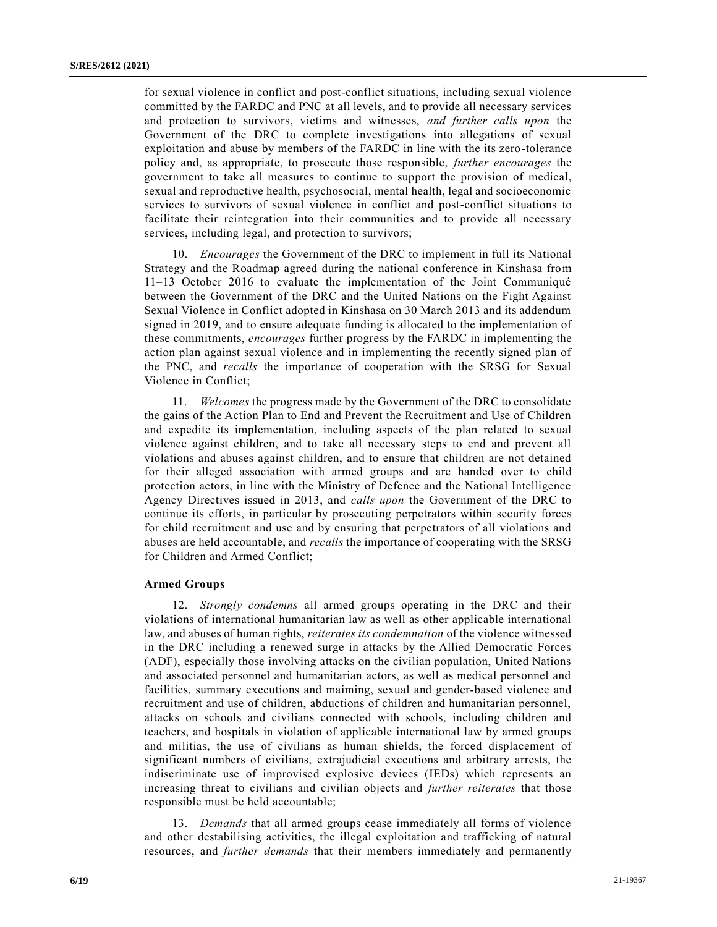for sexual violence in conflict and post-conflict situations, including sexual violence committed by the FARDC and PNC at all levels, and to provide all necessary services and protection to survivors, victims and witnesses, *and further calls upon* the Government of the DRC to complete investigations into allegations of sexual exploitation and abuse by members of the FARDC in line with the its zero-tolerance policy and, as appropriate, to prosecute those responsible, *further encourages* the government to take all measures to continue to support the provision of medical, sexual and reproductive health, psychosocial, mental health, legal and socioeconomic services to survivors of sexual violence in conflict and post-conflict situations to facilitate their reintegration into their communities and to provide all necessary services, including legal, and protection to survivors;

10. *Encourages* the Government of the DRC to implement in full its National Strategy and the Roadmap agreed during the national conference in Kinshasa from 11–13 October 2016 to evaluate the implementation of the Joint Communiqué between the Government of the DRC and the United Nations on the Fight Against Sexual Violence in Conflict adopted in Kinshasa on 30 March 2013 and its addendum signed in 2019, and to ensure adequate funding is allocated to the implementation of these commitments, *encourages* further progress by the FARDC in implementing the action plan against sexual violence and in implementing the recently signed plan of the PNC, and *recalls* the importance of cooperation with the SRSG for Sexual Violence in Conflict;

11. *Welcomes* the progress made by the Government of the DRC to consolidate the gains of the Action Plan to End and Prevent the Recruitment and Use of Children and expedite its implementation, including aspects of the plan related to sexual violence against children, and to take all necessary steps to end and prevent all violations and abuses against children, and to ensure that children are not detained for their alleged association with armed groups and are handed over to child protection actors, in line with the Ministry of Defence and the National Intelligence Agency Directives issued in 2013, and *calls upon* the Government of the DRC to continue its efforts, in particular by prosecuting perpetrators within security forces for child recruitment and use and by ensuring that perpetrators of all violations and abuses are held accountable, and *recalls* the importance of cooperating with the SRSG for Children and Armed Conflict;

#### **Armed Groups**

12. *Strongly condemns* all armed groups operating in the DRC and their violations of international humanitarian law as well as other applicable international law, and abuses of human rights, *reiterates its condemnation* of the violence witnessed in the DRC including a renewed surge in attacks by the Allied Democratic Forces (ADF), especially those involving attacks on the civilian population, United Nations and associated personnel and humanitarian actors, as well as medical personnel and facilities, summary executions and maiming, sexual and gender-based violence and recruitment and use of children, abductions of children and humanitarian personnel, attacks on schools and civilians connected with schools, including children and teachers, and hospitals in violation of applicable international law by armed groups and militias, the use of civilians as human shields, the forced displacement of significant numbers of civilians, extrajudicial executions and arbitrary arrests, the indiscriminate use of improvised explosive devices (IEDs) which represents an increasing threat to civilians and civilian objects and *further reiterates* that those responsible must be held accountable;

13. *Demands* that all armed groups cease immediately all forms of violence and other destabilising activities, the illegal exploitation and trafficking of natural resources, and *further demands* that their members immediately and permanently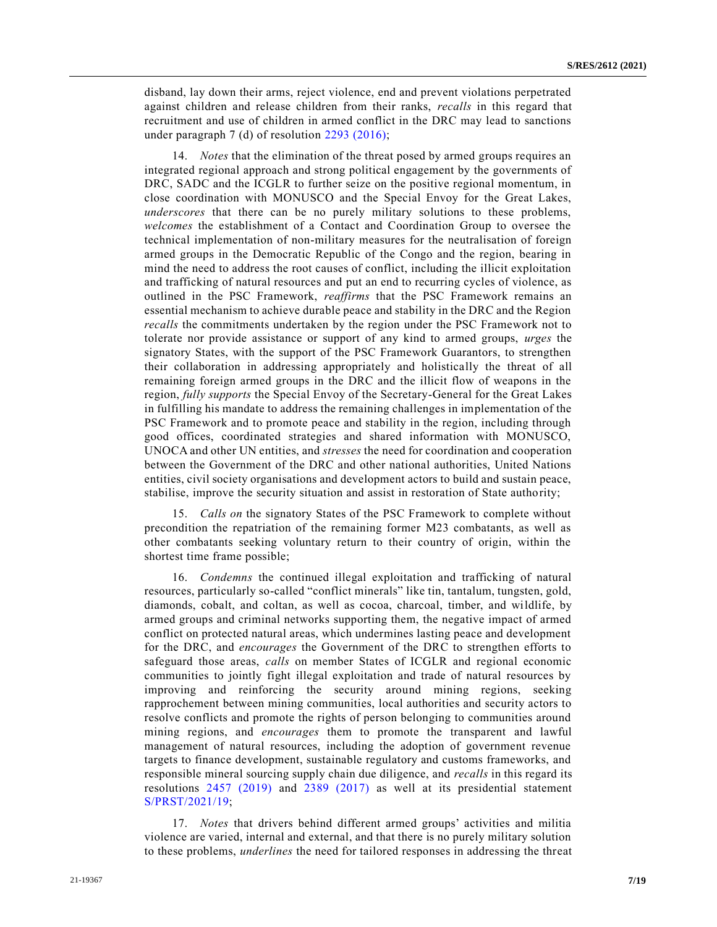disband, lay down their arms, reject violence, end and prevent violations perpetrated against children and release children from their ranks, *recalls* in this regard that recruitment and use of children in armed conflict in the DRC may lead to sanctions under paragraph 7 (d) of resolution [2293 \(2016\);](https://undocs.org/en/S/RES/2293(2016))

14. *Notes* that the elimination of the threat posed by armed groups requires an integrated regional approach and strong political engagement by the governments of DRC, SADC and the ICGLR to further seize on the positive regional momentum, in close coordination with MONUSCO and the Special Envoy for the Great Lakes, *underscores* that there can be no purely military solutions to these problems, *welcomes* the establishment of a Contact and Coordination Group to oversee the technical implementation of non-military measures for the neutralisation of foreign armed groups in the Democratic Republic of the Congo and the region, bearing in mind the need to address the root causes of conflict, including the illicit exploitation and trafficking of natural resources and put an end to recurring cycles of violence, as outlined in the PSC Framework, *reaffirms* that the PSC Framework remains an essential mechanism to achieve durable peace and stability in the DRC and the Region *recalls* the commitments undertaken by the region under the PSC Framework not to tolerate nor provide assistance or support of any kind to armed groups, *urges* the signatory States, with the support of the PSC Framework Guarantors, to strengthen their collaboration in addressing appropriately and holistically the threat of all remaining foreign armed groups in the DRC and the illicit flow of weapons in the region, *fully supports* the Special Envoy of the Secretary-General for the Great Lakes in fulfilling his mandate to address the remaining challenges in implementation of the PSC Framework and to promote peace and stability in the region, including through good offices, coordinated strategies and shared information with MONUSCO, UNOCA and other UN entities, and *stresses* the need for coordination and cooperation between the Government of the DRC and other national authorities, United Nations entities, civil society organisations and development actors to build and sustain peace, stabilise, improve the security situation and assist in restoration of State authority;

15. *Calls on* the signatory States of the PSC Framework to complete without precondition the repatriation of the remaining former M23 combatants, as well as other combatants seeking voluntary return to their country of origin, within the shortest time frame possible;

16. *Condemns* the continued illegal exploitation and trafficking of natural resources, particularly so-called "conflict minerals" like tin, tantalum, tungsten, gold, diamonds, cobalt, and coltan, as well as cocoa, charcoal, timber, and wildlife, by armed groups and criminal networks supporting them, the negative impact of armed conflict on protected natural areas, which undermines lasting peace and development for the DRC, and *encourages* the Government of the DRC to strengthen efforts to safeguard those areas, *calls* on member States of ICGLR and regional economic communities to jointly fight illegal exploitation and trade of natural resources by improving and reinforcing the security around mining regions, seeking rapprochement between mining communities, local authorities and security actors to resolve conflicts and promote the rights of person belonging to communities around mining regions, and *encourages* them to promote the transparent and lawful management of natural resources, including the adoption of government revenue targets to finance development, sustainable regulatory and customs frameworks, and responsible mineral sourcing supply chain due diligence, and *recalls* in this regard its resolutions [2457 \(2019\)](https://undocs.org/en/S/RES/2457(2019)) and [2389 \(2017\)](https://undocs.org/en/S/RES/2389(2017)) as well at its presidential statement [S/PRST/2021/19;](https://undocs.org/en/S/PRST/2021/19)

17. *Notes* that drivers behind different armed groups' activities and militia violence are varied, internal and external, and that there is no purely military solution to these problems, *underlines* the need for tailored responses in addressing the threat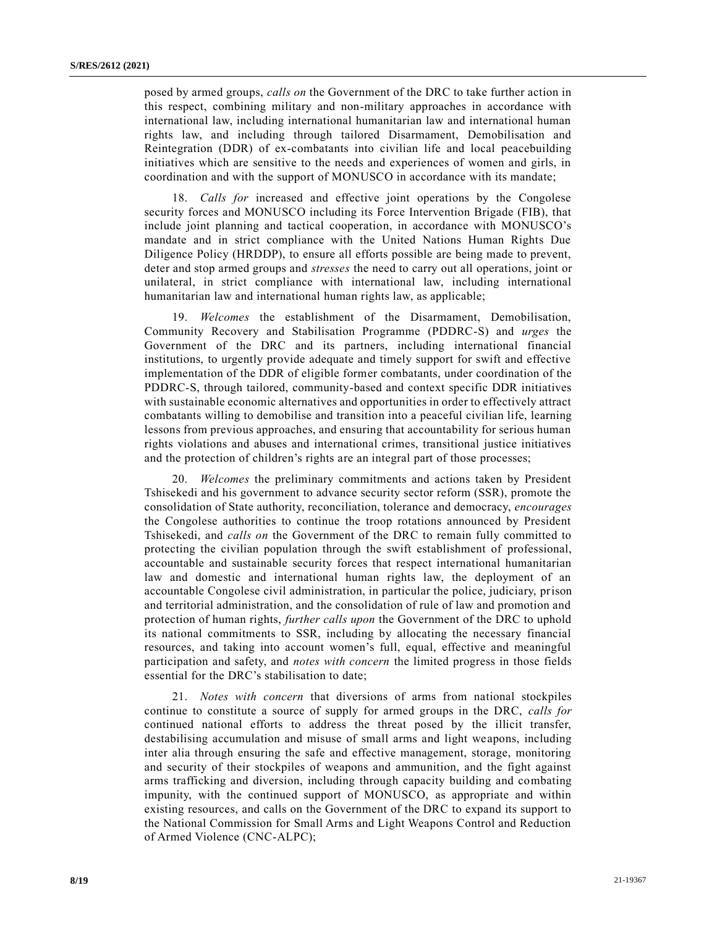posed by armed groups, *calls on* the Government of the DRC to take further action in this respect, combining military and non-military approaches in accordance with international law, including international humanitarian law and international human rights law, and including through tailored Disarmament, Demobilisation and Reintegration (DDR) of ex-combatants into civilian life and local peacebuilding initiatives which are sensitive to the needs and experiences of women and girls, in coordination and with the support of MONUSCO in accordance with its mandate;

18. *Calls for* increased and effective joint operations by the Congolese security forces and MONUSCO including its Force Intervention Brigade (FIB), that include joint planning and tactical cooperation, in accordance with MONUSCO's mandate and in strict compliance with the United Nations Human Rights Due Diligence Policy (HRDDP), to ensure all efforts possible are being made to prevent, deter and stop armed groups and *stresses* the need to carry out all operations, joint or unilateral, in strict compliance with international law, including international humanitarian law and international human rights law, as applicable;

19. *Welcomes* the establishment of the Disarmament, Demobilisation, Community Recovery and Stabilisation Programme (PDDRC-S) and *urges* the Government of the DRC and its partners, including international financial institutions, to urgently provide adequate and timely support for swift and effective implementation of the DDR of eligible former combatants, under coordination of the PDDRC-S, through tailored, community-based and context specific DDR initiatives with sustainable economic alternatives and opportunities in order to effectively attract combatants willing to demobilise and transition into a peaceful civilian life, learning lessons from previous approaches, and ensuring that accountability for serious human rights violations and abuses and international crimes, transitional justice initiatives and the protection of children's rights are an integral part of those processes;

20. *Welcomes* the preliminary commitments and actions taken by President Tshisekedi and his government to advance security sector reform (SSR), promote the consolidation of State authority, reconciliation, tolerance and democracy, *encourages* the Congolese authorities to continue the troop rotations announced by President Tshisekedi, and *calls on* the Government of the DRC to remain fully committed to protecting the civilian population through the swift establishment of professional, accountable and sustainable security forces that respect international humanitarian law and domestic and international human rights law, the deployment of an accountable Congolese civil administration, in particular the police, judiciary, prison and territorial administration, and the consolidation of rule of law and promotion and protection of human rights, *further calls upon* the Government of the DRC to uphold its national commitments to SSR, including by allocating the necessary financial resources, and taking into account women's full, equal, effective and meaningful participation and safety, and *notes with concern* the limited progress in those fields essential for the DRC's stabilisation to date;

21. *Notes with concern* that diversions of arms from national stockpiles continue to constitute a source of supply for armed groups in the DRC, *calls for* continued national efforts to address the threat posed by the illicit transfer, destabilising accumulation and misuse of small arms and light weapons, including inter alia through ensuring the safe and effective management, storage, monitoring and security of their stockpiles of weapons and ammunition, and the fight against arms trafficking and diversion, including through capacity building and combating impunity, with the continued support of MONUSCO, as appropriate and within existing resources, and calls on the Government of the DRC to expand its support to the National Commission for Small Arms and Light Weapons Control and Reduction of Armed Violence (CNC-ALPC);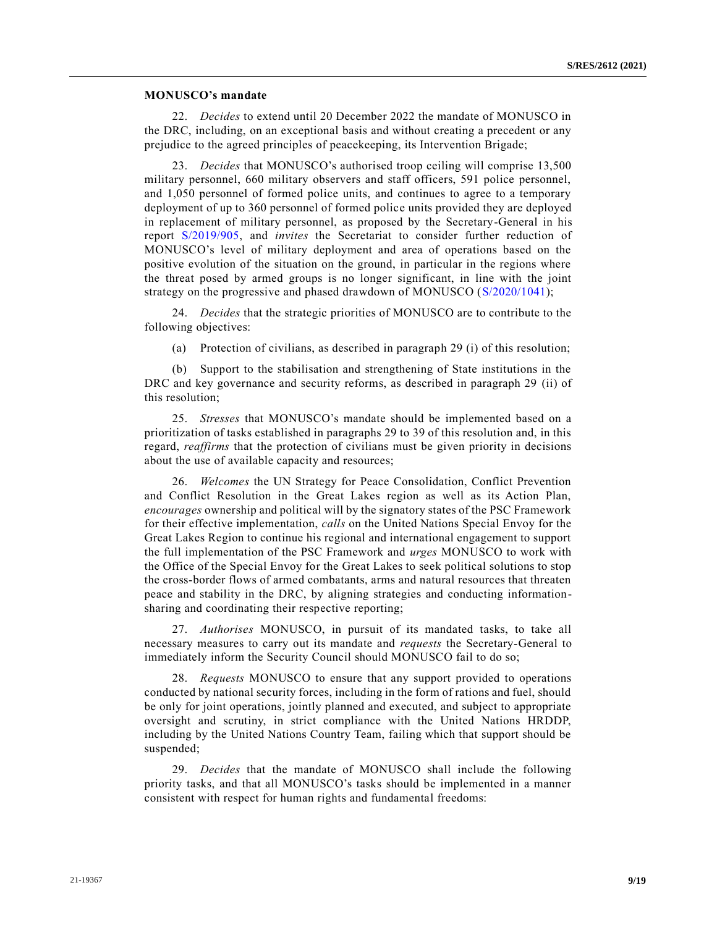#### **MONUSCO's mandate**

22. *Decides* to extend until 20 December 2022 the mandate of MONUSCO in the DRC, including, on an exceptional basis and without creating a precedent or any prejudice to the agreed principles of peacekeeping, its Intervention Brigade;

23. *Decides* that MONUSCO's authorised troop ceiling will comprise 13,500 military personnel, 660 military observers and staff officers, 591 police personnel, and 1,050 personnel of formed police units, and continues to agree to a temporary deployment of up to 360 personnel of formed police units provided they are deployed in replacement of military personnel, as proposed by the Secretary-General in his report [S/2019/905,](https://undocs.org/en/S/2019/905) and *invites* the Secretariat to consider further reduction of MONUSCO's level of military deployment and area of operations based on the positive evolution of the situation on the ground, in particular in the regions where the threat posed by armed groups is no longer significant, in line with the joint strategy on the progressive and phased drawdown of MONUSCO [\(S/2020/1041\)](https://undocs.org/en/S/2020/1041);

24. *Decides* that the strategic priorities of MONUSCO are to contribute to the following objectives:

(a) Protection of civilians, as described in paragraph 29 (i) of this resolution;

(b) Support to the stabilisation and strengthening of State institutions in the DRC and key governance and security reforms, as described in paragraph 29 (ii) of this resolution;

25. *Stresses* that MONUSCO's mandate should be implemented based on a prioritization of tasks established in paragraphs 29 to 39 of this resolution and, in this regard, *reaffirms* that the protection of civilians must be given priority in decisions about the use of available capacity and resources;

26. *Welcomes* the UN Strategy for Peace Consolidation, Conflict Prevention and Conflict Resolution in the Great Lakes region as well as its Action Plan, *encourages* ownership and political will by the signatory states of the PSC Framework for their effective implementation, *calls* on the United Nations Special Envoy for the Great Lakes Region to continue his regional and international engagement to support the full implementation of the PSC Framework and *urges* MONUSCO to work with the Office of the Special Envoy for the Great Lakes to seek political solutions to stop the cross-border flows of armed combatants, arms and natural resources that threaten peace and stability in the DRC, by aligning strategies and conducting informationsharing and coordinating their respective reporting;

27. *Authorises* MONUSCO, in pursuit of its mandated tasks, to take all necessary measures to carry out its mandate and *requests* the Secretary-General to immediately inform the Security Council should MONUSCO fail to do so;

28. *Requests* MONUSCO to ensure that any support provided to operations conducted by national security forces, including in the form of rations and fuel, should be only for joint operations, jointly planned and executed, and subject to appropriate oversight and scrutiny, in strict compliance with the United Nations HRDDP, including by the United Nations Country Team, failing which that support should be suspended;

29. *Decides* that the mandate of MONUSCO shall include the following priority tasks, and that all MONUSCO's tasks should be implemented in a manner consistent with respect for human rights and fundamental freedoms: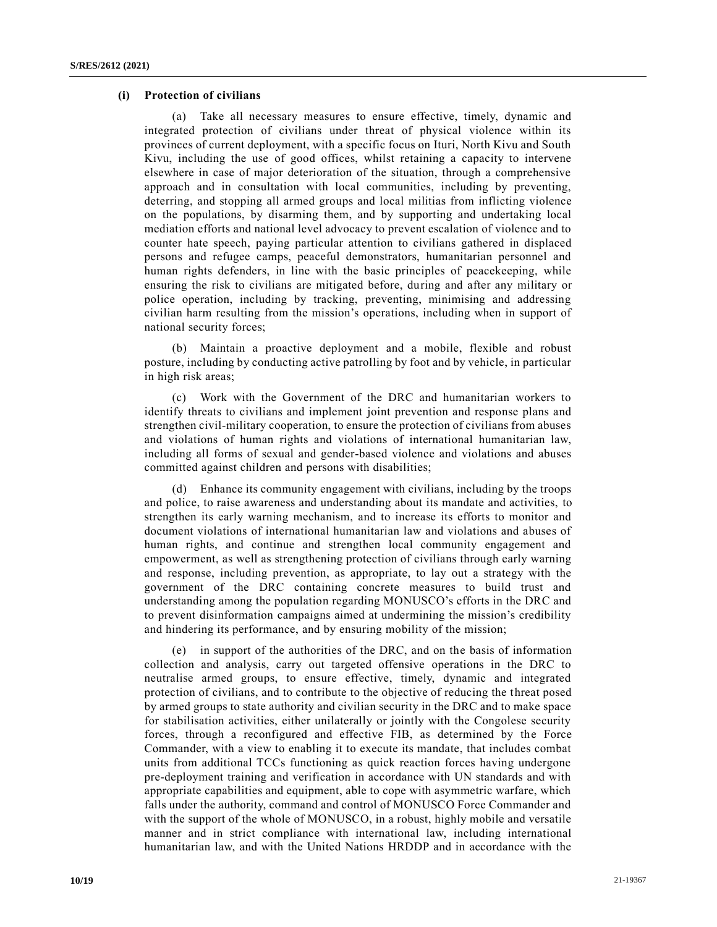#### **(i) Protection of civilians**

(a) Take all necessary measures to ensure effective, timely, dynamic and integrated protection of civilians under threat of physical violence within its provinces of current deployment, with a specific focus on Ituri, North Kivu and South Kivu, including the use of good offices, whilst retaining a capacity to intervene elsewhere in case of major deterioration of the situation, through a comprehensive approach and in consultation with local communities, including by preventing, deterring, and stopping all armed groups and local militias from inflicting violence on the populations, by disarming them, and by supporting and undertaking local mediation efforts and national level advocacy to prevent escalation of violence and to counter hate speech, paying particular attention to civilians gathered in displaced persons and refugee camps, peaceful demonstrators, humanitarian personnel and human rights defenders, in line with the basic principles of peacekeeping, while ensuring the risk to civilians are mitigated before, during and after any military or police operation, including by tracking, preventing, minimising and addressing civilian harm resulting from the mission's operations, including when in support of national security forces;

(b) Maintain a proactive deployment and a mobile, flexible and robust posture, including by conducting active patrolling by foot and by vehicle, in particular in high risk areas;

(c) Work with the Government of the DRC and humanitarian workers to identify threats to civilians and implement joint prevention and response plans and strengthen civil-military cooperation, to ensure the protection of civilians from abuses and violations of human rights and violations of international humanitarian law, including all forms of sexual and gender-based violence and violations and abuses committed against children and persons with disabilities;

(d) Enhance its community engagement with civilians, including by the troops and police, to raise awareness and understanding about its mandate and activities, to strengthen its early warning mechanism, and to increase its efforts to monitor and document violations of international humanitarian law and violations and abuses of human rights, and continue and strengthen local community engagement and empowerment, as well as strengthening protection of civilians through early warning and response, including prevention, as appropriate, to lay out a strategy with the government of the DRC containing concrete measures to build trust and understanding among the population regarding MONUSCO's efforts in the DRC and to prevent disinformation campaigns aimed at undermining the mission's credibility and hindering its performance, and by ensuring mobility of the mission;

(e) in support of the authorities of the DRC, and on the basis of information collection and analysis, carry out targeted offensive operations in the DRC to neutralise armed groups, to ensure effective, timely, dynamic and integrated protection of civilians, and to contribute to the objective of reducing the threat posed by armed groups to state authority and civilian security in the DRC and to make space for stabilisation activities, either unilaterally or jointly with the Congolese security forces, through a reconfigured and effective FIB, as determined by the Force Commander, with a view to enabling it to execute its mandate, that includes combat units from additional TCCs functioning as quick reaction forces having undergone pre-deployment training and verification in accordance with UN standards and with appropriate capabilities and equipment, able to cope with asymmetric warfare, which falls under the authority, command and control of MONUSCO Force Commander and with the support of the whole of MONUSCO, in a robust, highly mobile and versatile manner and in strict compliance with international law, including international humanitarian law, and with the United Nations HRDDP and in accordance with the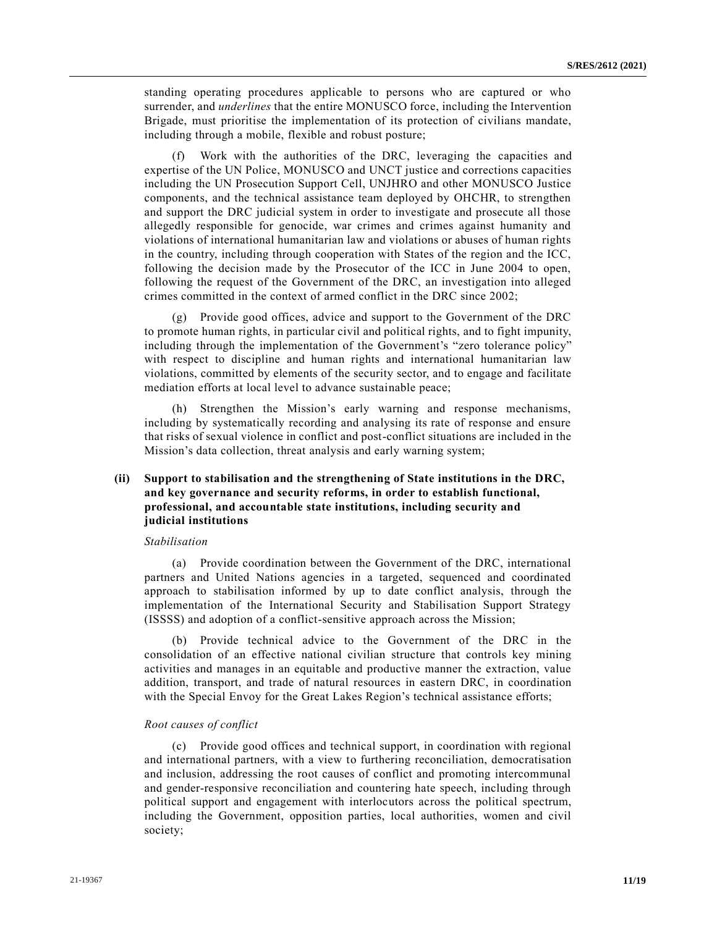standing operating procedures applicable to persons who are captured or who surrender, and *underlines* that the entire MONUSCO force, including the Intervention Brigade, must prioritise the implementation of its protection of civilians mandate, including through a mobile, flexible and robust posture;

(f) Work with the authorities of the DRC, leveraging the capacities and expertise of the UN Police, MONUSCO and UNCT justice and corrections capacities including the UN Prosecution Support Cell, UNJHRO and other MONUSCO Justice components, and the technical assistance team deployed by OHCHR, to strengthen and support the DRC judicial system in order to investigate and prosecute all those allegedly responsible for genocide, war crimes and crimes against humanity and violations of international humanitarian law and violations or abuses of human rights in the country, including through cooperation with States of the region and the ICC, following the decision made by the Prosecutor of the ICC in June 2004 to open, following the request of the Government of the DRC, an investigation into alleged crimes committed in the context of armed conflict in the DRC since 2002;

Provide good offices, advice and support to the Government of the DRC to promote human rights, in particular civil and political rights, and to fight impunity, including through the implementation of the Government's "zero tolerance policy" with respect to discipline and human rights and international humanitarian law violations, committed by elements of the security sector, and to engage and facilitate mediation efforts at local level to advance sustainable peace;

(h) Strengthen the Mission's early warning and response mechanisms, including by systematically recording and analysing its rate of response and ensure that risks of sexual violence in conflict and post-conflict situations are included in the Mission's data collection, threat analysis and early warning system;

# **(ii) Support to stabilisation and the strengthening of State institutions in the DRC, and key governance and security reforms, in order to establish functional, professional, and accountable state institutions, including security and judicial institutions**

#### *Stabilisation*

(a) Provide coordination between the Government of the DRC, international partners and United Nations agencies in a targeted, sequenced and coordinated approach to stabilisation informed by up to date conflict analysis, through the implementation of the International Security and Stabilisation Support Strategy (ISSSS) and adoption of a conflict-sensitive approach across the Mission;

(b) Provide technical advice to the Government of the DRC in the consolidation of an effective national civilian structure that controls key mining activities and manages in an equitable and productive manner the extraction, value addition, transport, and trade of natural resources in eastern DRC, in coordination with the Special Envoy for the Great Lakes Region's technical assistance efforts;

#### *Root causes of conflict*

(c) Provide good offices and technical support, in coordination with regional and international partners, with a view to furthering reconciliation, democratisation and inclusion, addressing the root causes of conflict and promoting intercommunal and gender-responsive reconciliation and countering hate speech, including through political support and engagement with interlocutors across the political spectrum, including the Government, opposition parties, local authorities, women and civil society;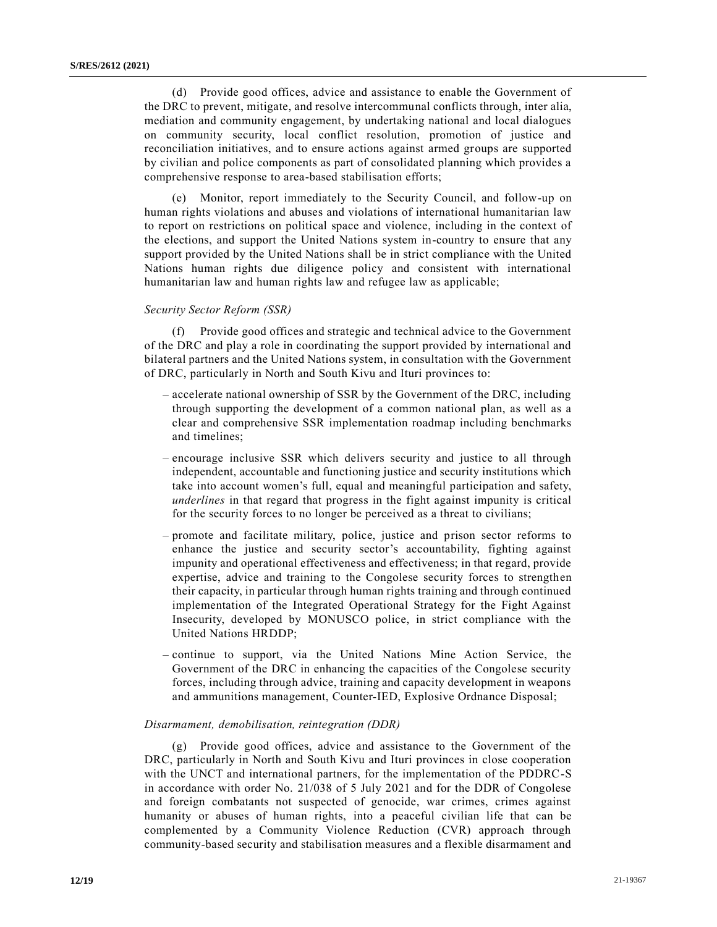(d) Provide good offices, advice and assistance to enable the Government of the DRC to prevent, mitigate, and resolve intercommunal conflicts through, inter alia, mediation and community engagement, by undertaking national and local dialogues on community security, local conflict resolution, promotion of justice and reconciliation initiatives, and to ensure actions against armed groups are supported by civilian and police components as part of consolidated planning which provides a comprehensive response to area-based stabilisation efforts;

(e) Monitor, report immediately to the Security Council, and follow-up on human rights violations and abuses and violations of international humanitarian law to report on restrictions on political space and violence, including in the context of the elections, and support the United Nations system in-country to ensure that any support provided by the United Nations shall be in strict compliance with the United Nations human rights due diligence policy and consistent with international humanitarian law and human rights law and refugee law as applicable;

#### *Security Sector Reform (SSR)*

(f) Provide good offices and strategic and technical advice to the Government of the DRC and play a role in coordinating the support provided by international and bilateral partners and the United Nations system, in consultation with the Government of DRC, particularly in North and South Kivu and Ituri provinces to:

- accelerate national ownership of SSR by the Government of the DRC, including through supporting the development of a common national plan, as well as a clear and comprehensive SSR implementation roadmap including benchmarks and timelines;
- encourage inclusive SSR which delivers security and justice to all through independent, accountable and functioning justice and security institutions which take into account women's full, equal and meaningful participation and safety, *underlines* in that regard that progress in the fight against impunity is critical for the security forces to no longer be perceived as a threat to civilians;
- promote and facilitate military, police, justice and prison sector reforms to enhance the justice and security sector's accountability, fighting against impunity and operational effectiveness and effectiveness; in that regard, provide expertise, advice and training to the Congolese security forces to strengthen their capacity, in particular through human rights training and through continued implementation of the Integrated Operational Strategy for the Fight Against Insecurity, developed by MONUSCO police, in strict compliance with the United Nations HRDDP;
- continue to support, via the United Nations Mine Action Service, the Government of the DRC in enhancing the capacities of the Congolese security forces, including through advice, training and capacity development in weapons and ammunitions management, Counter-IED, Explosive Ordnance Disposal;

#### *Disarmament, demobilisation, reintegration (DDR)*

(g) Provide good offices, advice and assistance to the Government of the DRC, particularly in North and South Kivu and Ituri provinces in close cooperation with the UNCT and international partners, for the implementation of the PDDRC-S in accordance with order No. 21/038 of 5 July 2021 and for the DDR of Congolese and foreign combatants not suspected of genocide, war crimes, crimes against humanity or abuses of human rights, into a peaceful civilian life that can be complemented by a Community Violence Reduction (CVR) approach through community-based security and stabilisation measures and a flexible disarmament and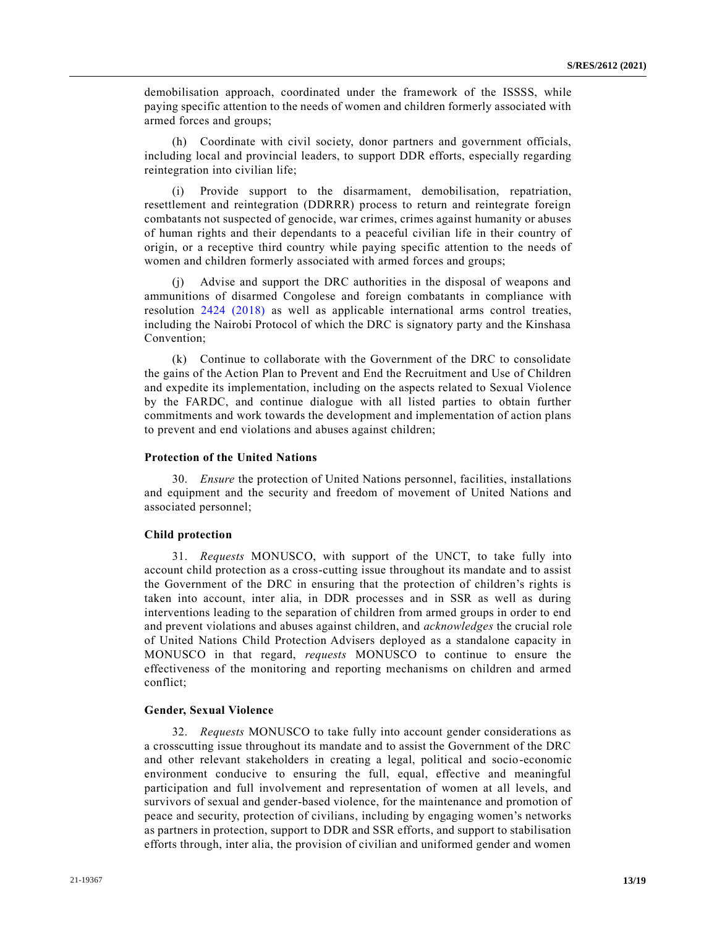demobilisation approach, coordinated under the framework of the ISSSS, while paying specific attention to the needs of women and children formerly associated with armed forces and groups;

(h) Coordinate with civil society, donor partners and government officials, including local and provincial leaders, to support DDR efforts, especially regarding reintegration into civilian life;

(i) Provide support to the disarmament, demobilisation, repatriation, resettlement and reintegration (DDRRR) process to return and reintegrate foreign combatants not suspected of genocide, war crimes, crimes against humanity or abuses of human rights and their dependants to a peaceful civilian life in their country of origin, or a receptive third country while paying specific attention to the needs of women and children formerly associated with armed forces and groups;

(j) Advise and support the DRC authorities in the disposal of weapons and ammunitions of disarmed Congolese and foreign combatants in compliance with resolution [2424 \(2018\)](https://undocs.org/en/S/RES/2424(2018)) as well as applicable international arms control treaties, including the Nairobi Protocol of which the DRC is signatory party and the Kinshasa Convention;

(k) Continue to collaborate with the Government of the DRC to consolidate the gains of the Action Plan to Prevent and End the Recruitment and Use of Children and expedite its implementation, including on the aspects related to Sexual Violence by the FARDC, and continue dialogue with all listed parties to obtain further commitments and work towards the development and implementation of action plans to prevent and end violations and abuses against children;

#### **Protection of the United Nations**

30. *Ensure* the protection of United Nations personnel, facilities, installations and equipment and the security and freedom of movement of United Nations and associated personnel;

#### **Child protection**

31. *Requests* MONUSCO, with support of the UNCT, to take fully into account child protection as a cross-cutting issue throughout its mandate and to assist the Government of the DRC in ensuring that the protection of children's rights is taken into account, inter alia, in DDR processes and in SSR as well as during interventions leading to the separation of children from armed groups in order to end and prevent violations and abuses against children, and *acknowledges* the crucial role of United Nations Child Protection Advisers deployed as a standalone capacity in MONUSCO in that regard, *requests* MONUSCO to continue to ensure the effectiveness of the monitoring and reporting mechanisms on children and armed conflict;

#### **Gender, Sexual Violence**

32. *Requests* MONUSCO to take fully into account gender considerations as a crosscutting issue throughout its mandate and to assist the Government of the DRC and other relevant stakeholders in creating a legal, political and socio-economic environment conducive to ensuring the full, equal, effective and meaningful participation and full involvement and representation of women at all levels, and survivors of sexual and gender-based violence, for the maintenance and promotion of peace and security, protection of civilians, including by engaging women's networks as partners in protection, support to DDR and SSR efforts, and support to stabilisation efforts through, inter alia, the provision of civilian and uniformed gender and women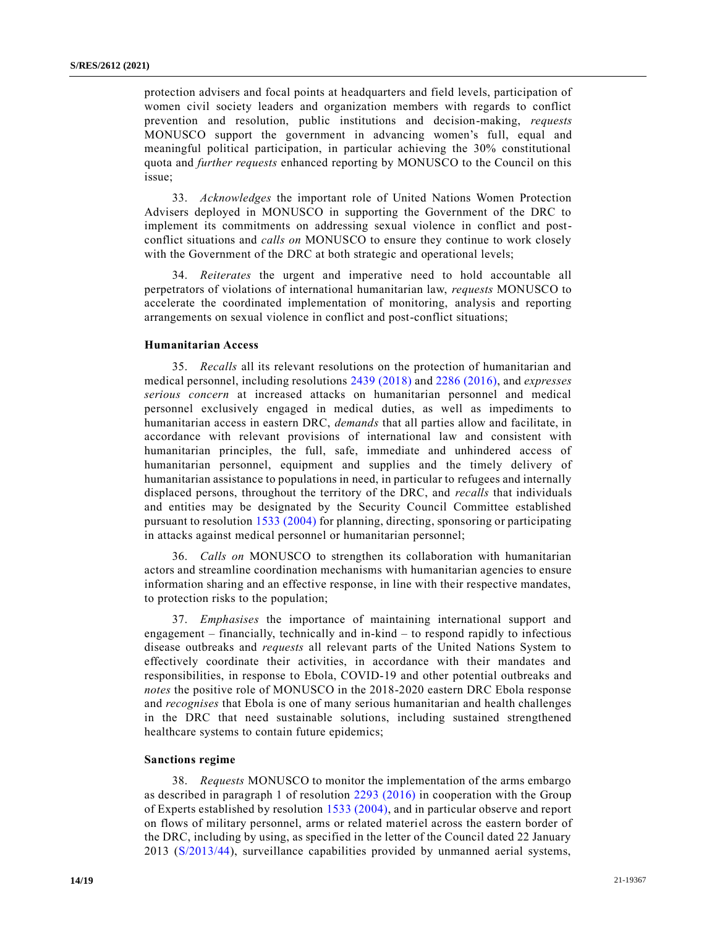protection advisers and focal points at headquarters and field levels, participation of women civil society leaders and organization members with regards to conflict prevention and resolution, public institutions and decision-making, *requests* MONUSCO support the government in advancing women's full, equal and meaningful political participation, in particular achieving the 30% constitutional quota and *further requests* enhanced reporting by MONUSCO to the Council on this issue;

33. *Acknowledges* the important role of United Nations Women Protection Advisers deployed in MONUSCO in supporting the Government of the DRC to implement its commitments on addressing sexual violence in conflict and postconflict situations and *calls on* MONUSCO to ensure they continue to work closely with the Government of the DRC at both strategic and operational levels;

34. *Reiterates* the urgent and imperative need to hold accountable all perpetrators of violations of international humanitarian law, *requests* MONUSCO to accelerate the coordinated implementation of monitoring, analysis and reporting arrangements on sexual violence in conflict and post-conflict situations;

#### **Humanitarian Access**

35. *Recalls* all its relevant resolutions on the protection of humanitarian and medical personnel, including resolutions [2439 \(2018\)](https://undocs.org/en/S/RES/2439(2018)) and [2286 \(2016\),](https://undocs.org/en/S/RES/2286(2016)) and *expresses serious concern* at increased attacks on humanitarian personnel and medical personnel exclusively engaged in medical duties, as well as impediments to humanitarian access in eastern DRC, *demands* that all parties allow and facilitate, in accordance with relevant provisions of international law and consistent with humanitarian principles, the full, safe, immediate and unhindered access of humanitarian personnel, equipment and supplies and the timely delivery of humanitarian assistance to populations in need, in particular to refugees and internally displaced persons, throughout the territory of the DRC, and *recalls* that individuals and entities may be designated by the Security Council Committee established pursuant to resolution [1533 \(2004\)](https://undocs.org/en/S/RES/1533(2004)) for planning, directing, sponsoring or participating in attacks against medical personnel or humanitarian personnel;

36. *Calls on* MONUSCO to strengthen its collaboration with humanitarian actors and streamline coordination mechanisms with humanitarian agencies to ensure information sharing and an effective response, in line with their respective mandates, to protection risks to the population;

37. *Emphasises* the importance of maintaining international support and engagement – financially, technically and in-kind – to respond rapidly to infectious disease outbreaks and *requests* all relevant parts of the United Nations System to effectively coordinate their activities, in accordance with their mandates and responsibilities, in response to Ebola, COVID-19 and other potential outbreaks and *notes* the positive role of MONUSCO in the 2018-2020 eastern DRC Ebola response and *recognises* that Ebola is one of many serious humanitarian and health challenges in the DRC that need sustainable solutions, including sustained strengthened healthcare systems to contain future epidemics;

#### **Sanctions regime**

38. *Requests* MONUSCO to monitor the implementation of the arms embargo as described in paragraph 1 of resolution [2293 \(2016\)](https://undocs.org/en/S/RES/2293(2016)) in cooperation with the Group of Experts established by resolution [1533 \(2004\),](https://undocs.org/en/S/RES/1533(2004)) and in particular observe and report on flows of military personnel, arms or related materiel across the eastern border of the DRC, including by using, as specified in the letter of the Council dated 22 January 2013 [\(S/2013/44\)](https://undocs.org/en/S/2013/44), surveillance capabilities provided by unmanned aerial systems,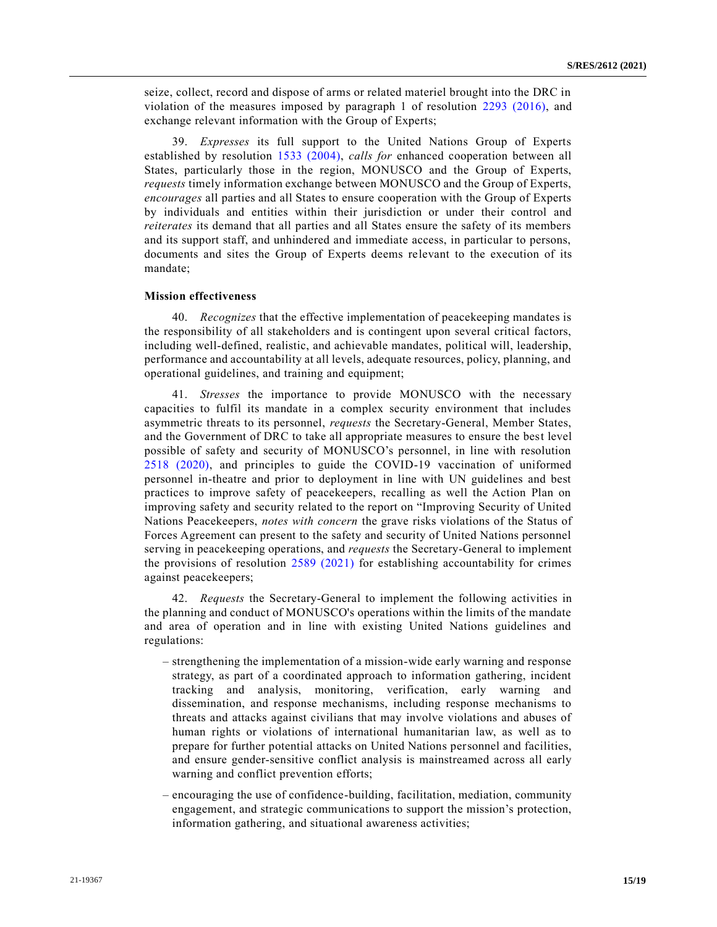seize, collect, record and dispose of arms or related materiel brought into the DRC in violation of the measures imposed by paragraph 1 of resolution [2293 \(2016\),](https://undocs.org/en/S/RES/2293(2016)) and exchange relevant information with the Group of Experts;

39. *Expresses* its full support to the United Nations Group of Experts established by resolution [1533 \(2004\),](https://undocs.org/en/S/RES/1533(2004)) *calls for* enhanced cooperation between all States, particularly those in the region, MONUSCO and the Group of Experts, *requests* timely information exchange between MONUSCO and the Group of Experts, *encourages* all parties and all States to ensure cooperation with the Group of Experts by individuals and entities within their jurisdiction or under their control and *reiterates* its demand that all parties and all States ensure the safety of its members and its support staff, and unhindered and immediate access, in particular to persons, documents and sites the Group of Experts deems relevant to the execution of its mandate;

#### **Mission effectiveness**

40. *Recognizes* that the effective implementation of peacekeeping mandates is the responsibility of all stakeholders and is contingent upon several critical factors, including well-defined, realistic, and achievable mandates, political will, leadership, performance and accountability at all levels, adequate resources, policy, planning, and operational guidelines, and training and equipment;

41. *Stresses* the importance to provide MONUSCO with the necessary capacities to fulfil its mandate in a complex security environment that includes asymmetric threats to its personnel, *requests* the Secretary-General, Member States, and the Government of DRC to take all appropriate measures to ensure the best level possible of safety and security of MONUSCO's personnel, in line with resolution [2518 \(2020\),](https://undocs.org/en/S/RES/2518(2020)) and principles to guide the COVID-19 vaccination of uniformed personnel in-theatre and prior to deployment in line with UN guidelines and best practices to improve safety of peacekeepers, recalling as well the Action Plan on improving safety and security related to the report on "Improving Security of United Nations Peacekeepers, *notes with concern* the grave risks violations of the Status of Forces Agreement can present to the safety and security of United Nations personnel serving in peacekeeping operations, and *requests* the Secretary-General to implement the provisions of resolution [2589 \(2021\)](https://undocs.org/en/S/RES/2589(2021)) for establishing accountability for crimes against peacekeepers;

42. *Requests* the Secretary-General to implement the following activities in the planning and conduct of MONUSCO's operations within the limits of the mandate and area of operation and in line with existing United Nations guidelines and regulations:

- strengthening the implementation of a mission-wide early warning and response strategy, as part of a coordinated approach to information gathering, incident tracking and analysis, monitoring, verification, early warning and dissemination, and response mechanisms, including response mechanisms to threats and attacks against civilians that may involve violations and abuses of human rights or violations of international humanitarian law, as well as to prepare for further potential attacks on United Nations personnel and facilities, and ensure gender-sensitive conflict analysis is mainstreamed across all early warning and conflict prevention efforts;
- encouraging the use of confidence-building, facilitation, mediation, community engagement, and strategic communications to support the mission's protection, information gathering, and situational awareness activities;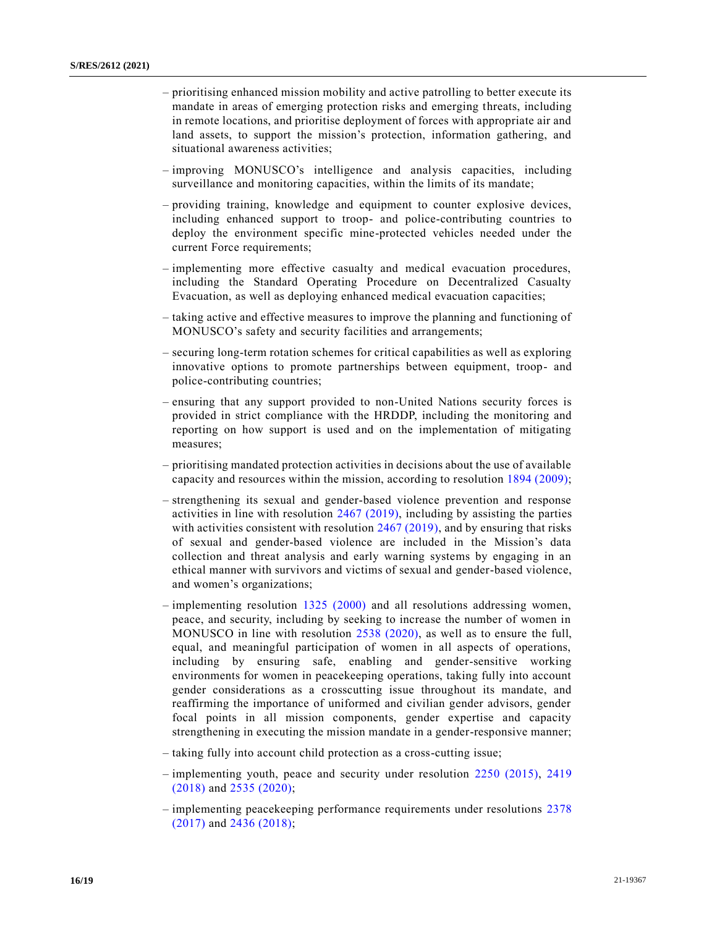- prioritising enhanced mission mobility and active patrolling to better execute its mandate in areas of emerging protection risks and emerging threats, including in remote locations, and prioritise deployment of forces with appropriate air and land assets, to support the mission's protection, information gathering, and situational awareness activities;
- improving MONUSCO's intelligence and analysis capacities, including surveillance and monitoring capacities, within the limits of its mandate;
- providing training, knowledge and equipment to counter explosive devices, including enhanced support to troop- and police-contributing countries to deploy the environment specific mine-protected vehicles needed under the current Force requirements;
- implementing more effective casualty and medical evacuation procedures, including the Standard Operating Procedure on Decentralized Casualty Evacuation, as well as deploying enhanced medical evacuation capacities;
- taking active and effective measures to improve the planning and functioning of MONUSCO's safety and security facilities and arrangements;
- securing long-term rotation schemes for critical capabilities as well as exploring innovative options to promote partnerships between equipment, troop- and police-contributing countries;
- ensuring that any support provided to non-United Nations security forces is provided in strict compliance with the HRDDP, including the monitoring and reporting on how support is used and on the implementation of mitigating measures;
- prioritising mandated protection activities in decisions about the use of available capacity and resources within the mission, according to resolution [1894 \(2009\);](https://undocs.org/en/S/RES/1894(2009))
- strengthening its sexual and gender-based violence prevention and response activities in line with resolution [2467 \(2019\),](https://undocs.org/en/S/RES/2467(2019)) including by assisting the parties with activities consistent with resolution  $2467 (2019)$ , and by ensuring that risks of sexual and gender-based violence are included in the Mission's data collection and threat analysis and early warning systems by engaging in an ethical manner with survivors and victims of sexual and gender-based violence, and women's organizations;
- implementing resolution [1325 \(2000\)](https://undocs.org/en/S/RES/1325(2000)) and all resolutions addressing women, peace, and security, including by seeking to increase the number of women in MONUSCO in line with resolution [2538 \(2020\),](https://undocs.org/en/S/RES/2538(2020)) as well as to ensure the full, equal, and meaningful participation of women in all aspects of operations, including by ensuring safe, enabling and gender-sensitive working environments for women in peacekeeping operations, taking fully into account gender considerations as a crosscutting issue throughout its mandate, and reaffirming the importance of uniformed and civilian gender advisors, gender focal points in all mission components, gender expertise and capacity strengthening in executing the mission mandate in a gender-responsive manner;
- taking fully into account child protection as a cross-cutting issue;
- implementing youth, peace and security under resolution [2250 \(2015\),](https://undocs.org/en/S/RES/2250(2015)) [2419](https://undocs.org/en/S/RES/2419(2018))  [\(2018\)](https://undocs.org/en/S/RES/2419(2018)) and [2535 \(2020\);](https://undocs.org/en/S/RES/2535(2020))
- implementing peacekeeping performance requirements under resolutions [2378](https://undocs.org/en/S/RES/2378(2017))  [\(2017\)](https://undocs.org/en/S/RES/2378(2017)) and [2436 \(2018\);](https://undocs.org/en/S/RES/2436(2018))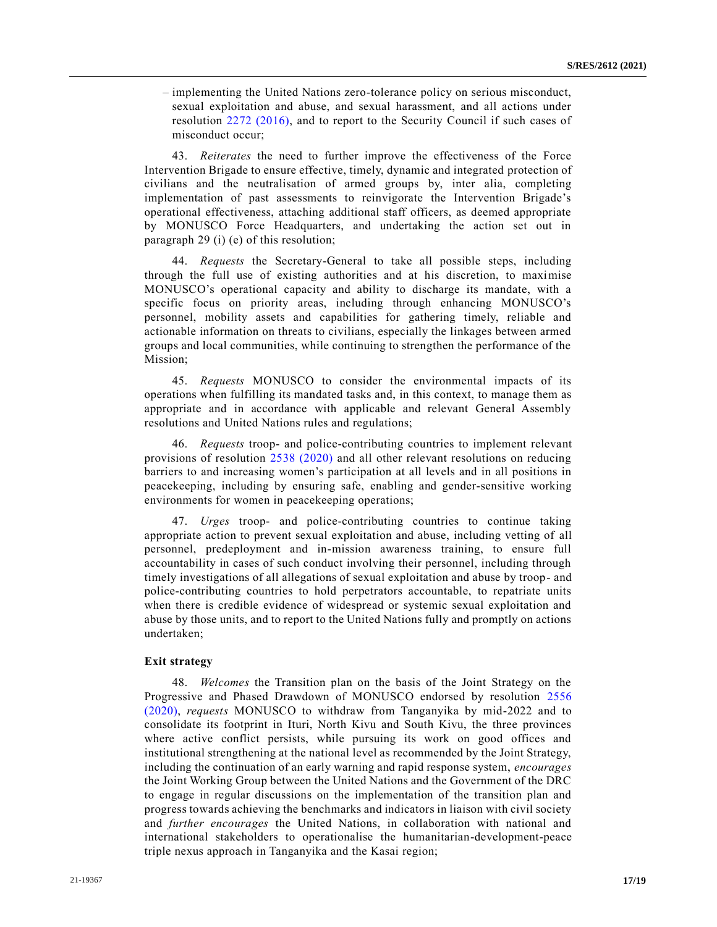– implementing the United Nations zero-tolerance policy on serious misconduct, sexual exploitation and abuse, and sexual harassment, and all actions under resolution [2272 \(2016\),](https://undocs.org/en/S/RES/2272(2016)) and to report to the Security Council if such cases of misconduct occur;

43. *Reiterates* the need to further improve the effectiveness of the Force Intervention Brigade to ensure effective, timely, dynamic and integrated protection of civilians and the neutralisation of armed groups by, inter alia, completing implementation of past assessments to reinvigorate the Intervention Brigade's operational effectiveness, attaching additional staff officers, as deemed appropriate by MONUSCO Force Headquarters, and undertaking the action set out in paragraph 29 (i) (e) of this resolution;

44. *Requests* the Secretary-General to take all possible steps, including through the full use of existing authorities and at his discretion, to maximise MONUSCO's operational capacity and ability to discharge its mandate, with a specific focus on priority areas, including through enhancing MONUSCO's personnel, mobility assets and capabilities for gathering timely, reliable and actionable information on threats to civilians, especially the linkages between armed groups and local communities, while continuing to strengthen the performance of the Mission;

45. *Requests* MONUSCO to consider the environmental impacts of its operations when fulfilling its mandated tasks and, in this context, to manage them as appropriate and in accordance with applicable and relevant General Assembly resolutions and United Nations rules and regulations;

46. *Requests* troop- and police-contributing countries to implement relevant provisions of resolution [2538 \(2020\)](https://undocs.org/en/S/RES/2538(2020)) and all other relevant resolutions on reducing barriers to and increasing women's participation at all levels and in all positions in peacekeeping, including by ensuring safe, enabling and gender-sensitive working environments for women in peacekeeping operations;

47. *Urges* troop- and police-contributing countries to continue taking appropriate action to prevent sexual exploitation and abuse, including vetting of all personnel, predeployment and in-mission awareness training, to ensure full accountability in cases of such conduct involving their personnel, including through timely investigations of all allegations of sexual exploitation and abuse by troop- and police-contributing countries to hold perpetrators accountable, to repatriate units when there is credible evidence of widespread or systemic sexual exploitation and abuse by those units, and to report to the United Nations fully and promptly on actions undertaken;

### **Exit strategy**

48. *Welcomes* the Transition plan on the basis of the Joint Strategy on the Progressive and Phased Drawdown of MONUSCO endorsed by resolution [2556](https://undocs.org/en/S/RES/2556(2020))  [\(2020\),](https://undocs.org/en/S/RES/2556(2020)) *requests* MONUSCO to withdraw from Tanganyika by mid-2022 and to consolidate its footprint in Ituri, North Kivu and South Kivu, the three provinces where active conflict persists, while pursuing its work on good offices and institutional strengthening at the national level as recommended by the Joint Strategy, including the continuation of an early warning and rapid response system, *encourages* the Joint Working Group between the United Nations and the Government of the DRC to engage in regular discussions on the implementation of the transition plan and progress towards achieving the benchmarks and indicators in liaison with civil society and *further encourages* the United Nations, in collaboration with national and international stakeholders to operationalise the humanitarian-development-peace triple nexus approach in Tanganyika and the Kasai region;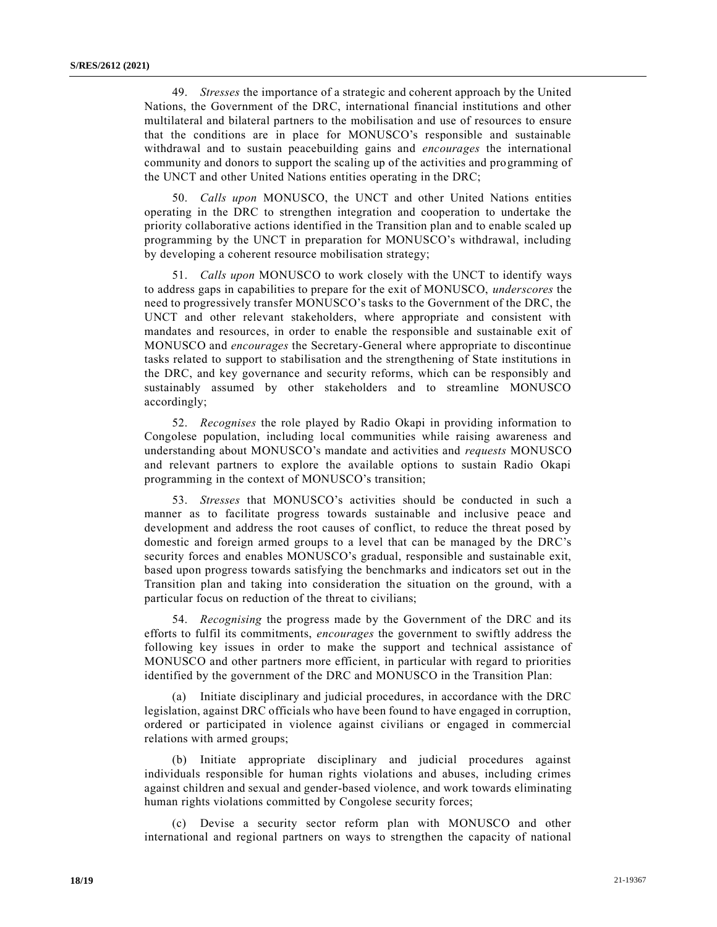49. *Stresses* the importance of a strategic and coherent approach by the United Nations, the Government of the DRC, international financial institutions and other multilateral and bilateral partners to the mobilisation and use of resources to ensure that the conditions are in place for MONUSCO's responsible and sustainable withdrawal and to sustain peacebuilding gains and *encourages* the international community and donors to support the scaling up of the activities and programming of the UNCT and other United Nations entities operating in the DRC;

50. *Calls upon* MONUSCO, the UNCT and other United Nations entities operating in the DRC to strengthen integration and cooperation to undertake the priority collaborative actions identified in the Transition plan and to enable scaled up programming by the UNCT in preparation for MONUSCO's withdrawal, including by developing a coherent resource mobilisation strategy;

51. *Calls upon* MONUSCO to work closely with the UNCT to identify ways to address gaps in capabilities to prepare for the exit of MONUSCO, *underscores* the need to progressively transfer MONUSCO's tasks to the Government of the DRC, the UNCT and other relevant stakeholders, where appropriate and consistent with mandates and resources, in order to enable the responsible and sustainable exit of MONUSCO and *encourages* the Secretary-General where appropriate to discontinue tasks related to support to stabilisation and the strengthening of State institutions in the DRC, and key governance and security reforms, which can be responsibly and sustainably assumed by other stakeholders and to streamline MONUSCO accordingly;

52. *Recognises* the role played by Radio Okapi in providing information to Congolese population, including local communities while raising awareness and understanding about MONUSCO's mandate and activities and *requests* MONUSCO and relevant partners to explore the available options to sustain Radio Okapi programming in the context of MONUSCO's transition;

53. *Stresses* that MONUSCO's activities should be conducted in such a manner as to facilitate progress towards sustainable and inclusive peace and development and address the root causes of conflict, to reduce the threat posed by domestic and foreign armed groups to a level that can be managed by the DRC's security forces and enables MONUSCO's gradual, responsible and sustainable exit, based upon progress towards satisfying the benchmarks and indicators set out in the Transition plan and taking into consideration the situation on the ground, with a particular focus on reduction of the threat to civilians;

54. *Recognising* the progress made by the Government of the DRC and its efforts to fulfil its commitments, *encourages* the government to swiftly address the following key issues in order to make the support and technical assistance of MONUSCO and other partners more efficient, in particular with regard to priorities identified by the government of the DRC and MONUSCO in the Transition Plan:

(a) Initiate disciplinary and judicial procedures, in accordance with the DRC legislation, against DRC officials who have been found to have engaged in corruption, ordered or participated in violence against civilians or engaged in commercial relations with armed groups;

(b) Initiate appropriate disciplinary and judicial procedures against individuals responsible for human rights violations and abuses, including crimes against children and sexual and gender-based violence, and work towards eliminating human rights violations committed by Congolese security forces;

(c) Devise a security sector reform plan with MONUSCO and other international and regional partners on ways to strengthen the capacity of national